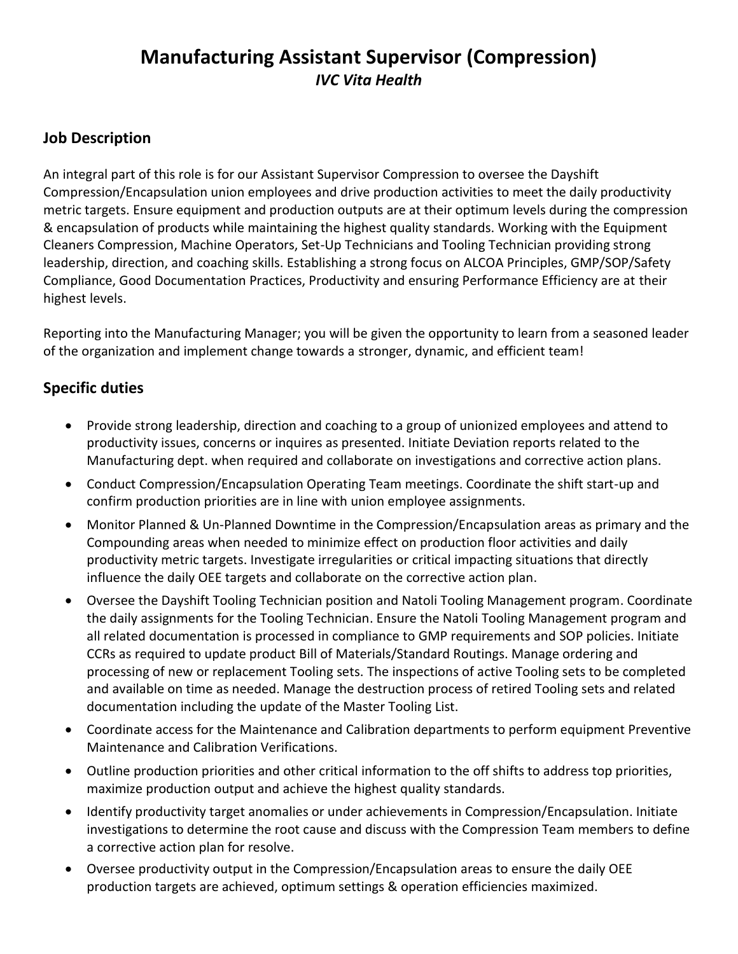# **Manufacturing Assistant Supervisor (Compression)**  *IVC Vita Health*

## **Job Description**

An integral part of this role is for our Assistant Supervisor Compression to oversee the Dayshift Compression/Encapsulation union employees and drive production activities to meet the daily productivity metric targets. Ensure equipment and production outputs are at their optimum levels during the compression & encapsulation of products while maintaining the highest quality standards. Working with the Equipment Cleaners Compression, Machine Operators, Set-Up Technicians and Tooling Technician providing strong leadership, direction, and coaching skills. Establishing a strong focus on ALCOA Principles, GMP/SOP/Safety Compliance, Good Documentation Practices, Productivity and ensuring Performance Efficiency are at their highest levels.

Reporting into the Manufacturing Manager; you will be given the opportunity to learn from a seasoned leader of the organization and implement change towards a stronger, dynamic, and efficient team!

## **Specific duties**

- Provide strong leadership, direction and coaching to a group of unionized employees and attend to productivity issues, concerns or inquires as presented. Initiate Deviation reports related to the Manufacturing dept. when required and collaborate on investigations and corrective action plans.
- Conduct Compression/Encapsulation Operating Team meetings. Coordinate the shift start-up and confirm production priorities are in line with union employee assignments.
- Monitor Planned & Un-Planned Downtime in the Compression/Encapsulation areas as primary and the Compounding areas when needed to minimize effect on production floor activities and daily productivity metric targets. Investigate irregularities or critical impacting situations that directly influence the daily OEE targets and collaborate on the corrective action plan.
- Oversee the Dayshift Tooling Technician position and Natoli Tooling Management program. Coordinate the daily assignments for the Tooling Technician. Ensure the Natoli Tooling Management program and all related documentation is processed in compliance to GMP requirements and SOP policies. Initiate CCRs as required to update product Bill of Materials/Standard Routings. Manage ordering and processing of new or replacement Tooling sets. The inspections of active Tooling sets to be completed and available on time as needed. Manage the destruction process of retired Tooling sets and related documentation including the update of the Master Tooling List.
- Coordinate access for the Maintenance and Calibration departments to perform equipment Preventive Maintenance and Calibration Verifications.
- Outline production priorities and other critical information to the off shifts to address top priorities, maximize production output and achieve the highest quality standards.
- Identify productivity target anomalies or under achievements in Compression/Encapsulation. Initiate investigations to determine the root cause and discuss with the Compression Team members to define a corrective action plan for resolve.
- Oversee productivity output in the Compression/Encapsulation areas to ensure the daily OEE production targets are achieved, optimum settings & operation efficiencies maximized.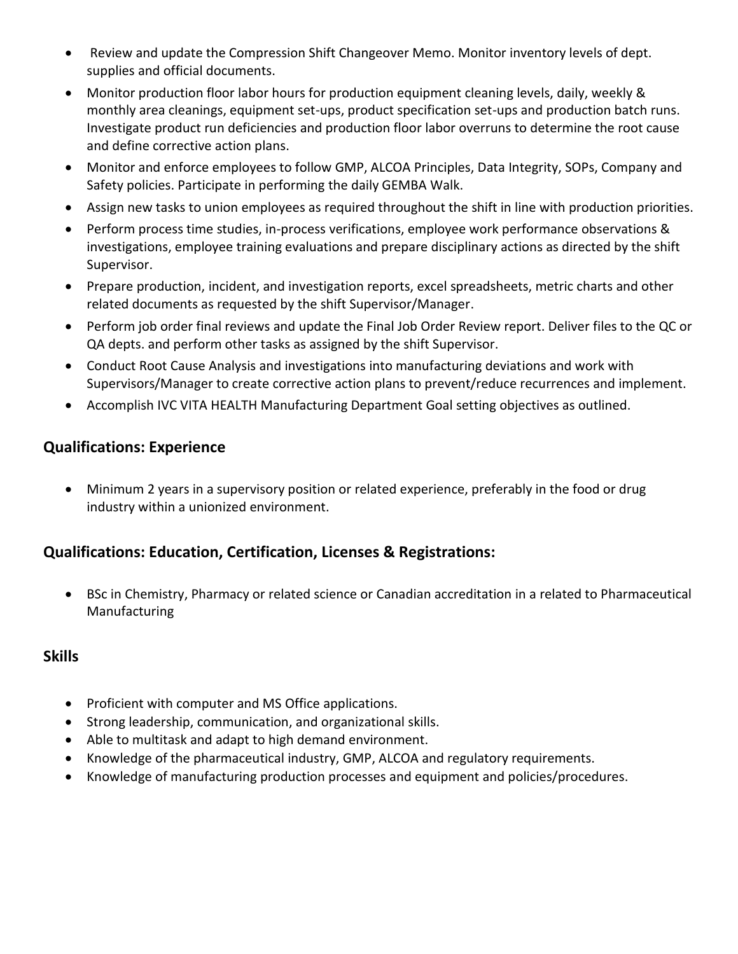- Review and update the Compression Shift Changeover Memo. Monitor inventory levels of dept. supplies and official documents.
- Monitor production floor labor hours for production equipment cleaning levels, daily, weekly & monthly area cleanings, equipment set-ups, product specification set-ups and production batch runs. Investigate product run deficiencies and production floor labor overruns to determine the root cause and define corrective action plans.
- Monitor and enforce employees to follow GMP, ALCOA Principles, Data Integrity, SOPs, Company and Safety policies. Participate in performing the daily GEMBA Walk.
- Assign new tasks to union employees as required throughout the shift in line with production priorities.
- Perform process time studies, in-process verifications, employee work performance observations & investigations, employee training evaluations and prepare disciplinary actions as directed by the shift Supervisor.
- Prepare production, incident, and investigation reports, excel spreadsheets, metric charts and other related documents as requested by the shift Supervisor/Manager.
- Perform job order final reviews and update the Final Job Order Review report. Deliver files to the QC or QA depts. and perform other tasks as assigned by the shift Supervisor.
- Conduct Root Cause Analysis and investigations into manufacturing deviations and work with Supervisors/Manager to create corrective action plans to prevent/reduce recurrences and implement.
- Accomplish IVC VITA HEALTH Manufacturing Department Goal setting objectives as outlined.

#### **Qualifications: Experience**

• Minimum 2 years in a supervisory position or related experience, preferably in the food or drug industry within a unionized environment.

## **Qualifications: Education, Certification, Licenses & Registrations:**

• BSc in Chemistry, Pharmacy or related science or Canadian accreditation in a related to Pharmaceutical Manufacturing

#### **Skills**

- Proficient with computer and MS Office applications.
- Strong leadership, communication, and organizational skills.
- Able to multitask and adapt to high demand environment.
- Knowledge of the pharmaceutical industry, GMP, ALCOA and regulatory requirements.
- Knowledge of manufacturing production processes and equipment and policies/procedures.